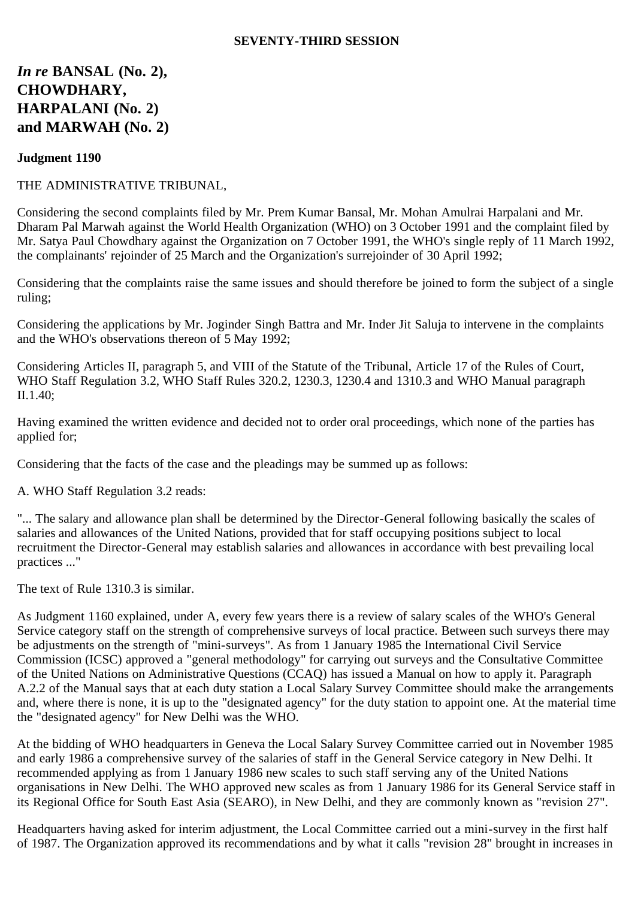### **SEVENTY-THIRD SESSION**

# *In re* **BANSAL (No. 2), CHOWDHARY, HARPALANI (No. 2) and MARWAH (No. 2)**

#### **Judgment 1190**

#### THE ADMINISTRATIVE TRIBUNAL,

Considering the second complaints filed by Mr. Prem Kumar Bansal, Mr. Mohan Amulrai Harpalani and Mr. Dharam Pal Marwah against the World Health Organization (WHO) on 3 October 1991 and the complaint filed by Mr. Satya Paul Chowdhary against the Organization on 7 October 1991, the WHO's single reply of 11 March 1992, the complainants' rejoinder of 25 March and the Organization's surrejoinder of 30 April 1992;

Considering that the complaints raise the same issues and should therefore be joined to form the subject of a single ruling;

Considering the applications by Mr. Joginder Singh Battra and Mr. Inder Jit Saluja to intervene in the complaints and the WHO's observations thereon of 5 May 1992;

Considering Articles II, paragraph 5, and VIII of the Statute of the Tribunal, Article 17 of the Rules of Court, WHO Staff Regulation 3.2, WHO Staff Rules 320.2, 1230.3, 1230.4 and 1310.3 and WHO Manual paragraph II.1.40;

Having examined the written evidence and decided not to order oral proceedings, which none of the parties has applied for;

Considering that the facts of the case and the pleadings may be summed up as follows:

A. WHO Staff Regulation 3.2 reads:

"... The salary and allowance plan shall be determined by the Director-General following basically the scales of salaries and allowances of the United Nations, provided that for staff occupying positions subject to local recruitment the Director-General may establish salaries and allowances in accordance with best prevailing local practices ..."

The text of Rule 1310.3 is similar.

As Judgment 1160 explained, under A, every few years there is a review of salary scales of the WHO's General Service category staff on the strength of comprehensive surveys of local practice. Between such surveys there may be adjustments on the strength of "mini-surveys". As from 1 January 1985 the International Civil Service Commission (ICSC) approved a "general methodology" for carrying out surveys and the Consultative Committee of the United Nations on Administrative Questions (CCAQ) has issued a Manual on how to apply it. Paragraph A.2.2 of the Manual says that at each duty station a Local Salary Survey Committee should make the arrangements and, where there is none, it is up to the "designated agency" for the duty station to appoint one. At the material time the "designated agency" for New Delhi was the WHO.

At the bidding of WHO headquarters in Geneva the Local Salary Survey Committee carried out in November 1985 and early 1986 a comprehensive survey of the salaries of staff in the General Service category in New Delhi. It recommended applying as from 1 January 1986 new scales to such staff serving any of the United Nations organisations in New Delhi. The WHO approved new scales as from 1 January 1986 for its General Service staff in its Regional Office for South East Asia (SEARO), in New Delhi, and they are commonly known as "revision 27".

Headquarters having asked for interim adjustment, the Local Committee carried out a mini-survey in the first half of 1987. The Organization approved its recommendations and by what it calls "revision 28" brought in increases in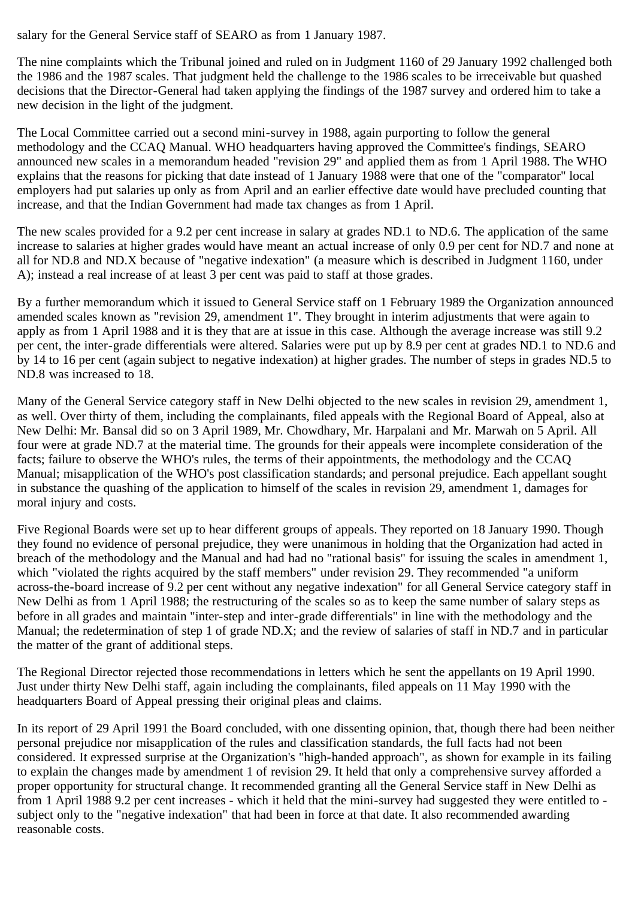salary for the General Service staff of SEARO as from 1 January 1987.

The nine complaints which the Tribunal joined and ruled on in Judgment 1160 of 29 January 1992 challenged both the 1986 and the 1987 scales. That judgment held the challenge to the 1986 scales to be irreceivable but quashed decisions that the Director-General had taken applying the findings of the 1987 survey and ordered him to take a new decision in the light of the judgment.

The Local Committee carried out a second mini-survey in 1988, again purporting to follow the general methodology and the CCAQ Manual. WHO headquarters having approved the Committee's findings, SEARO announced new scales in a memorandum headed "revision 29" and applied them as from 1 April 1988. The WHO explains that the reasons for picking that date instead of 1 January 1988 were that one of the "comparator" local employers had put salaries up only as from April and an earlier effective date would have precluded counting that increase, and that the Indian Government had made tax changes as from 1 April.

The new scales provided for a 9.2 per cent increase in salary at grades ND.1 to ND.6. The application of the same increase to salaries at higher grades would have meant an actual increase of only 0.9 per cent for ND.7 and none at all for ND.8 and ND.X because of "negative indexation" (a measure which is described in Judgment 1160, under A); instead a real increase of at least 3 per cent was paid to staff at those grades.

By a further memorandum which it issued to General Service staff on 1 February 1989 the Organization announced amended scales known as "revision 29, amendment 1". They brought in interim adjustments that were again to apply as from 1 April 1988 and it is they that are at issue in this case. Although the average increase was still 9.2 per cent, the inter-grade differentials were altered. Salaries were put up by 8.9 per cent at grades ND.1 to ND.6 and by 14 to 16 per cent (again subject to negative indexation) at higher grades. The number of steps in grades ND.5 to ND.8 was increased to 18.

Many of the General Service category staff in New Delhi objected to the new scales in revision 29, amendment 1, as well. Over thirty of them, including the complainants, filed appeals with the Regional Board of Appeal, also at New Delhi: Mr. Bansal did so on 3 April 1989, Mr. Chowdhary, Mr. Harpalani and Mr. Marwah on 5 April. All four were at grade ND.7 at the material time. The grounds for their appeals were incomplete consideration of the facts; failure to observe the WHO's rules, the terms of their appointments, the methodology and the CCAQ Manual; misapplication of the WHO's post classification standards; and personal prejudice. Each appellant sought in substance the quashing of the application to himself of the scales in revision 29, amendment 1, damages for moral injury and costs.

Five Regional Boards were set up to hear different groups of appeals. They reported on 18 January 1990. Though they found no evidence of personal prejudice, they were unanimous in holding that the Organization had acted in breach of the methodology and the Manual and had had no "rational basis" for issuing the scales in amendment 1, which "violated the rights acquired by the staff members" under revision 29. They recommended "a uniform across-the-board increase of 9.2 per cent without any negative indexation" for all General Service category staff in New Delhi as from 1 April 1988; the restructuring of the scales so as to keep the same number of salary steps as before in all grades and maintain "inter-step and inter-grade differentials" in line with the methodology and the Manual; the redetermination of step 1 of grade ND.X; and the review of salaries of staff in ND.7 and in particular the matter of the grant of additional steps.

The Regional Director rejected those recommendations in letters which he sent the appellants on 19 April 1990. Just under thirty New Delhi staff, again including the complainants, filed appeals on 11 May 1990 with the headquarters Board of Appeal pressing their original pleas and claims.

In its report of 29 April 1991 the Board concluded, with one dissenting opinion, that, though there had been neither personal prejudice nor misapplication of the rules and classification standards, the full facts had not been considered. It expressed surprise at the Organization's "high-handed approach", as shown for example in its failing to explain the changes made by amendment 1 of revision 29. It held that only a comprehensive survey afforded a proper opportunity for structural change. It recommended granting all the General Service staff in New Delhi as from 1 April 1988 9.2 per cent increases - which it held that the mini-survey had suggested they were entitled to subject only to the "negative indexation" that had been in force at that date. It also recommended awarding reasonable costs.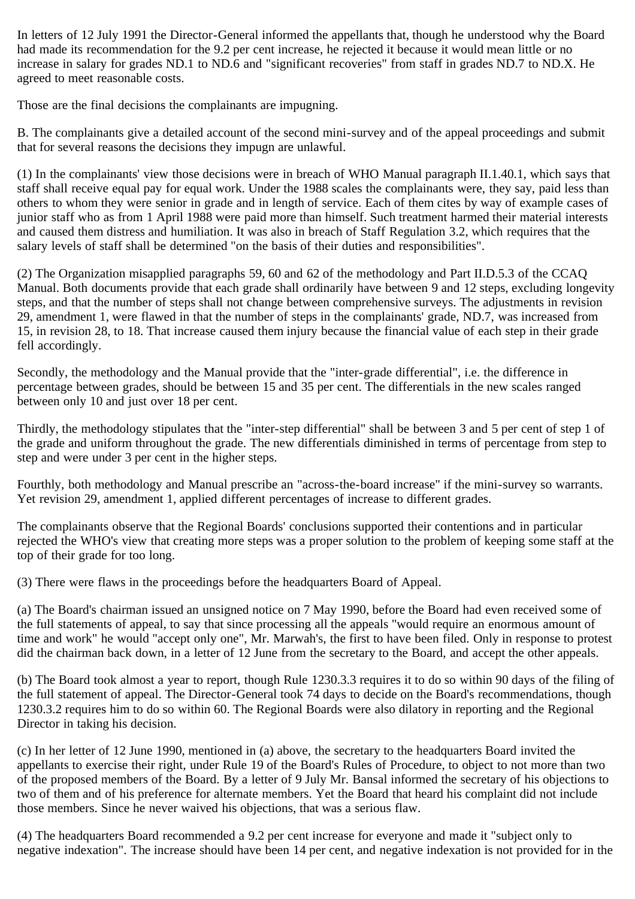In letters of 12 July 1991 the Director-General informed the appellants that, though he understood why the Board had made its recommendation for the 9.2 per cent increase, he rejected it because it would mean little or no increase in salary for grades ND.1 to ND.6 and "significant recoveries" from staff in grades ND.7 to ND.X. He agreed to meet reasonable costs.

Those are the final decisions the complainants are impugning.

B. The complainants give a detailed account of the second mini-survey and of the appeal proceedings and submit that for several reasons the decisions they impugn are unlawful.

(1) In the complainants' view those decisions were in breach of WHO Manual paragraph II.1.40.1, which says that staff shall receive equal pay for equal work. Under the 1988 scales the complainants were, they say, paid less than others to whom they were senior in grade and in length of service. Each of them cites by way of example cases of junior staff who as from 1 April 1988 were paid more than himself. Such treatment harmed their material interests and caused them distress and humiliation. It was also in breach of Staff Regulation 3.2, which requires that the salary levels of staff shall be determined "on the basis of their duties and responsibilities".

(2) The Organization misapplied paragraphs 59, 60 and 62 of the methodology and Part II.D.5.3 of the CCAQ Manual. Both documents provide that each grade shall ordinarily have between 9 and 12 steps, excluding longevity steps, and that the number of steps shall not change between comprehensive surveys. The adjustments in revision 29, amendment 1, were flawed in that the number of steps in the complainants' grade, ND.7, was increased from 15, in revision 28, to 18. That increase caused them injury because the financial value of each step in their grade fell accordingly.

Secondly, the methodology and the Manual provide that the "inter-grade differential", i.e. the difference in percentage between grades, should be between 15 and 35 per cent. The differentials in the new scales ranged between only 10 and just over 18 per cent.

Thirdly, the methodology stipulates that the "inter-step differential" shall be between 3 and 5 per cent of step 1 of the grade and uniform throughout the grade. The new differentials diminished in terms of percentage from step to step and were under 3 per cent in the higher steps.

Fourthly, both methodology and Manual prescribe an "across-the-board increase" if the mini-survey so warrants. Yet revision 29, amendment 1, applied different percentages of increase to different grades.

The complainants observe that the Regional Boards' conclusions supported their contentions and in particular rejected the WHO's view that creating more steps was a proper solution to the problem of keeping some staff at the top of their grade for too long.

(3) There were flaws in the proceedings before the headquarters Board of Appeal.

(a) The Board's chairman issued an unsigned notice on 7 May 1990, before the Board had even received some of the full statements of appeal, to say that since processing all the appeals "would require an enormous amount of time and work" he would "accept only one", Mr. Marwah's, the first to have been filed. Only in response to protest did the chairman back down, in a letter of 12 June from the secretary to the Board, and accept the other appeals.

(b) The Board took almost a year to report, though Rule 1230.3.3 requires it to do so within 90 days of the filing of the full statement of appeal. The Director-General took 74 days to decide on the Board's recommendations, though 1230.3.2 requires him to do so within 60. The Regional Boards were also dilatory in reporting and the Regional Director in taking his decision.

(c) In her letter of 12 June 1990, mentioned in (a) above, the secretary to the headquarters Board invited the appellants to exercise their right, under Rule 19 of the Board's Rules of Procedure, to object to not more than two of the proposed members of the Board. By a letter of 9 July Mr. Bansal informed the secretary of his objections to two of them and of his preference for alternate members. Yet the Board that heard his complaint did not include those members. Since he never waived his objections, that was a serious flaw.

(4) The headquarters Board recommended a 9.2 per cent increase for everyone and made it "subject only to negative indexation". The increase should have been 14 per cent, and negative indexation is not provided for in the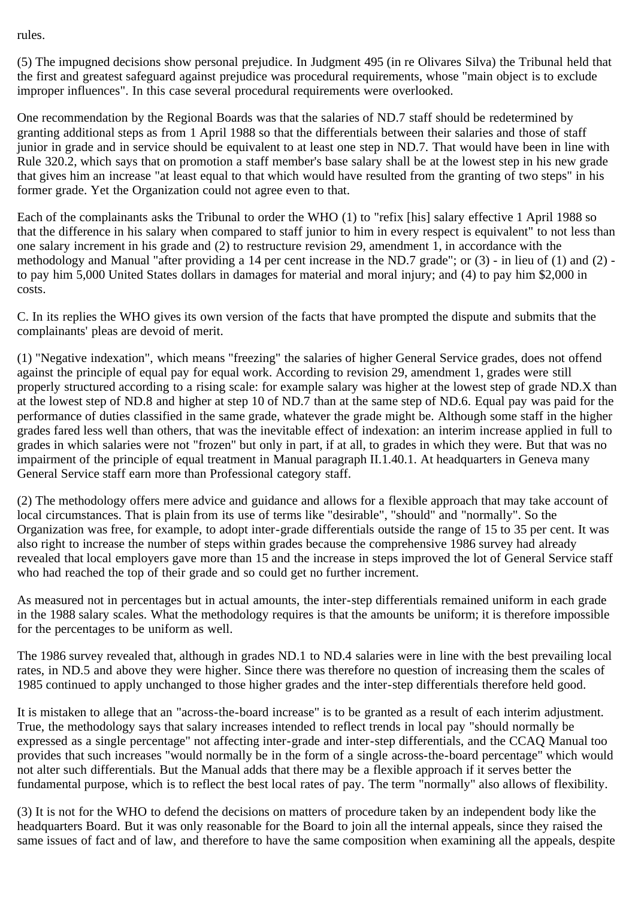rules.

(5) The impugned decisions show personal prejudice. In Judgment 495 (in re Olivares Silva) the Tribunal held that the first and greatest safeguard against prejudice was procedural requirements, whose "main object is to exclude improper influences". In this case several procedural requirements were overlooked.

One recommendation by the Regional Boards was that the salaries of ND.7 staff should be redetermined by granting additional steps as from 1 April 1988 so that the differentials between their salaries and those of staff junior in grade and in service should be equivalent to at least one step in ND.7. That would have been in line with Rule 320.2, which says that on promotion a staff member's base salary shall be at the lowest step in his new grade that gives him an increase "at least equal to that which would have resulted from the granting of two steps" in his former grade. Yet the Organization could not agree even to that.

Each of the complainants asks the Tribunal to order the WHO (1) to "refix [his] salary effective 1 April 1988 so that the difference in his salary when compared to staff junior to him in every respect is equivalent" to not less than one salary increment in his grade and (2) to restructure revision 29, amendment 1, in accordance with the methodology and Manual "after providing a 14 per cent increase in the ND.7 grade"; or (3) - in lieu of (1) and (2) to pay him 5,000 United States dollars in damages for material and moral injury; and (4) to pay him \$2,000 in costs.

C. In its replies the WHO gives its own version of the facts that have prompted the dispute and submits that the complainants' pleas are devoid of merit.

(1) "Negative indexation", which means "freezing" the salaries of higher General Service grades, does not offend against the principle of equal pay for equal work. According to revision 29, amendment 1, grades were still properly structured according to a rising scale: for example salary was higher at the lowest step of grade ND.X than at the lowest step of ND.8 and higher at step 10 of ND.7 than at the same step of ND.6. Equal pay was paid for the performance of duties classified in the same grade, whatever the grade might be. Although some staff in the higher grades fared less well than others, that was the inevitable effect of indexation: an interim increase applied in full to grades in which salaries were not "frozen" but only in part, if at all, to grades in which they were. But that was no impairment of the principle of equal treatment in Manual paragraph II.1.40.1. At headquarters in Geneva many General Service staff earn more than Professional category staff.

(2) The methodology offers mere advice and guidance and allows for a flexible approach that may take account of local circumstances. That is plain from its use of terms like "desirable", "should" and "normally". So the Organization was free, for example, to adopt inter-grade differentials outside the range of 15 to 35 per cent. It was also right to increase the number of steps within grades because the comprehensive 1986 survey had already revealed that local employers gave more than 15 and the increase in steps improved the lot of General Service staff who had reached the top of their grade and so could get no further increment.

As measured not in percentages but in actual amounts, the inter-step differentials remained uniform in each grade in the 1988 salary scales. What the methodology requires is that the amounts be uniform; it is therefore impossible for the percentages to be uniform as well.

The 1986 survey revealed that, although in grades ND.1 to ND.4 salaries were in line with the best prevailing local rates, in ND.5 and above they were higher. Since there was therefore no question of increasing them the scales of 1985 continued to apply unchanged to those higher grades and the inter-step differentials therefore held good.

It is mistaken to allege that an "across-the-board increase" is to be granted as a result of each interim adjustment. True, the methodology says that salary increases intended to reflect trends in local pay "should normally be expressed as a single percentage" not affecting inter-grade and inter-step differentials, and the CCAQ Manual too provides that such increases "would normally be in the form of a single across-the-board percentage" which would not alter such differentials. But the Manual adds that there may be a flexible approach if it serves better the fundamental purpose, which is to reflect the best local rates of pay. The term "normally" also allows of flexibility.

(3) It is not for the WHO to defend the decisions on matters of procedure taken by an independent body like the headquarters Board. But it was only reasonable for the Board to join all the internal appeals, since they raised the same issues of fact and of law, and therefore to have the same composition when examining all the appeals, despite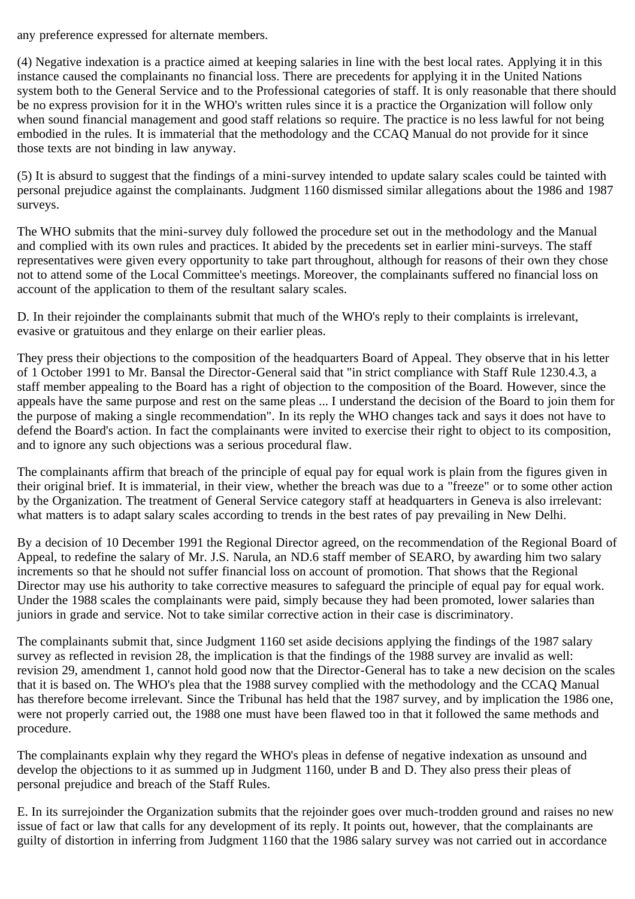any preference expressed for alternate members.

(4) Negative indexation is a practice aimed at keeping salaries in line with the best local rates. Applying it in this instance caused the complainants no financial loss. There are precedents for applying it in the United Nations system both to the General Service and to the Professional categories of staff. It is only reasonable that there should be no express provision for it in the WHO's written rules since it is a practice the Organization will follow only when sound financial management and good staff relations so require. The practice is no less lawful for not being embodied in the rules. It is immaterial that the methodology and the CCAQ Manual do not provide for it since those texts are not binding in law anyway.

(5) It is absurd to suggest that the findings of a mini-survey intended to update salary scales could be tainted with personal prejudice against the complainants. Judgment 1160 dismissed similar allegations about the 1986 and 1987 surveys.

The WHO submits that the mini-survey duly followed the procedure set out in the methodology and the Manual and complied with its own rules and practices. It abided by the precedents set in earlier mini-surveys. The staff representatives were given every opportunity to take part throughout, although for reasons of their own they chose not to attend some of the Local Committee's meetings. Moreover, the complainants suffered no financial loss on account of the application to them of the resultant salary scales.

D. In their rejoinder the complainants submit that much of the WHO's reply to their complaints is irrelevant, evasive or gratuitous and they enlarge on their earlier pleas.

They press their objections to the composition of the headquarters Board of Appeal. They observe that in his letter of 1 October 1991 to Mr. Bansal the Director-General said that "in strict compliance with Staff Rule 1230.4.3, a staff member appealing to the Board has a right of objection to the composition of the Board. However, since the appeals have the same purpose and rest on the same pleas ... I understand the decision of the Board to join them for the purpose of making a single recommendation". In its reply the WHO changes tack and says it does not have to defend the Board's action. In fact the complainants were invited to exercise their right to object to its composition, and to ignore any such objections was a serious procedural flaw.

The complainants affirm that breach of the principle of equal pay for equal work is plain from the figures given in their original brief. It is immaterial, in their view, whether the breach was due to a "freeze" or to some other action by the Organization. The treatment of General Service category staff at headquarters in Geneva is also irrelevant: what matters is to adapt salary scales according to trends in the best rates of pay prevailing in New Delhi.

By a decision of 10 December 1991 the Regional Director agreed, on the recommendation of the Regional Board of Appeal, to redefine the salary of Mr. J.S. Narula, an ND.6 staff member of SEARO, by awarding him two salary increments so that he should not suffer financial loss on account of promotion. That shows that the Regional Director may use his authority to take corrective measures to safeguard the principle of equal pay for equal work. Under the 1988 scales the complainants were paid, simply because they had been promoted, lower salaries than juniors in grade and service. Not to take similar corrective action in their case is discriminatory.

The complainants submit that, since Judgment 1160 set aside decisions applying the findings of the 1987 salary survey as reflected in revision 28, the implication is that the findings of the 1988 survey are invalid as well: revision 29, amendment 1, cannot hold good now that the Director-General has to take a new decision on the scales that it is based on. The WHO's plea that the 1988 survey complied with the methodology and the CCAQ Manual has therefore become irrelevant. Since the Tribunal has held that the 1987 survey, and by implication the 1986 one, were not properly carried out, the 1988 one must have been flawed too in that it followed the same methods and procedure.

The complainants explain why they regard the WHO's pleas in defense of negative indexation as unsound and develop the objections to it as summed up in Judgment 1160, under B and D. They also press their pleas of personal prejudice and breach of the Staff Rules.

E. In its surrejoinder the Organization submits that the rejoinder goes over much-trodden ground and raises no new issue of fact or law that calls for any development of its reply. It points out, however, that the complainants are guilty of distortion in inferring from Judgment 1160 that the 1986 salary survey was not carried out in accordance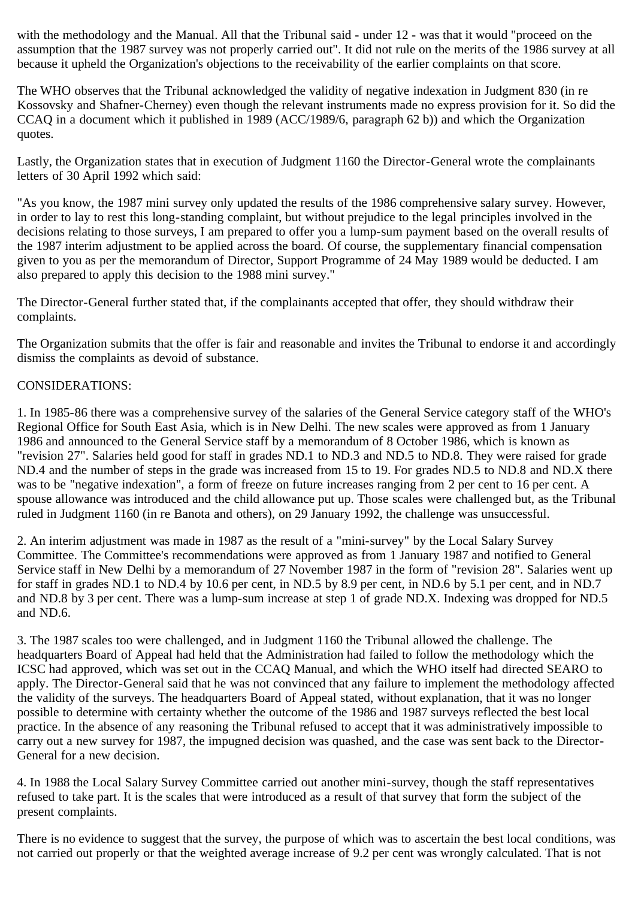with the methodology and the Manual. All that the Tribunal said - under 12 - was that it would "proceed on the assumption that the 1987 survey was not properly carried out". It did not rule on the merits of the 1986 survey at all because it upheld the Organization's objections to the receivability of the earlier complaints on that score.

The WHO observes that the Tribunal acknowledged the validity of negative indexation in Judgment 830 (in re Kossovsky and Shafner-Cherney) even though the relevant instruments made no express provision for it. So did the CCAQ in a document which it published in 1989 (ACC/1989/6, paragraph 62 b)) and which the Organization quotes.

Lastly, the Organization states that in execution of Judgment 1160 the Director-General wrote the complainants letters of 30 April 1992 which said:

"As you know, the 1987 mini survey only updated the results of the 1986 comprehensive salary survey. However, in order to lay to rest this long-standing complaint, but without prejudice to the legal principles involved in the decisions relating to those surveys, I am prepared to offer you a lump-sum payment based on the overall results of the 1987 interim adjustment to be applied across the board. Of course, the supplementary financial compensation given to you as per the memorandum of Director, Support Programme of 24 May 1989 would be deducted. I am also prepared to apply this decision to the 1988 mini survey."

The Director-General further stated that, if the complainants accepted that offer, they should withdraw their complaints.

The Organization submits that the offer is fair and reasonable and invites the Tribunal to endorse it and accordingly dismiss the complaints as devoid of substance.

## CONSIDERATIONS:

1. In 1985-86 there was a comprehensive survey of the salaries of the General Service category staff of the WHO's Regional Office for South East Asia, which is in New Delhi. The new scales were approved as from 1 January 1986 and announced to the General Service staff by a memorandum of 8 October 1986, which is known as "revision 27". Salaries held good for staff in grades ND.1 to ND.3 and ND.5 to ND.8. They were raised for grade ND.4 and the number of steps in the grade was increased from 15 to 19. For grades ND.5 to ND.8 and ND.X there was to be "negative indexation", a form of freeze on future increases ranging from 2 per cent to 16 per cent. A spouse allowance was introduced and the child allowance put up. Those scales were challenged but, as the Tribunal ruled in Judgment 1160 (in re Banota and others), on 29 January 1992, the challenge was unsuccessful.

2. An interim adjustment was made in 1987 as the result of a "mini-survey" by the Local Salary Survey Committee. The Committee's recommendations were approved as from 1 January 1987 and notified to General Service staff in New Delhi by a memorandum of 27 November 1987 in the form of "revision 28". Salaries went up for staff in grades ND.1 to ND.4 by 10.6 per cent, in ND.5 by 8.9 per cent, in ND.6 by 5.1 per cent, and in ND.7 and ND.8 by 3 per cent. There was a lump-sum increase at step 1 of grade ND.X. Indexing was dropped for ND.5 and ND.6.

3. The 1987 scales too were challenged, and in Judgment 1160 the Tribunal allowed the challenge. The headquarters Board of Appeal had held that the Administration had failed to follow the methodology which the ICSC had approved, which was set out in the CCAQ Manual, and which the WHO itself had directed SEARO to apply. The Director-General said that he was not convinced that any failure to implement the methodology affected the validity of the surveys. The headquarters Board of Appeal stated, without explanation, that it was no longer possible to determine with certainty whether the outcome of the 1986 and 1987 surveys reflected the best local practice. In the absence of any reasoning the Tribunal refused to accept that it was administratively impossible to carry out a new survey for 1987, the impugned decision was quashed, and the case was sent back to the Director-General for a new decision.

4. In 1988 the Local Salary Survey Committee carried out another mini-survey, though the staff representatives refused to take part. It is the scales that were introduced as a result of that survey that form the subject of the present complaints.

There is no evidence to suggest that the survey, the purpose of which was to ascertain the best local conditions, was not carried out properly or that the weighted average increase of 9.2 per cent was wrongly calculated. That is not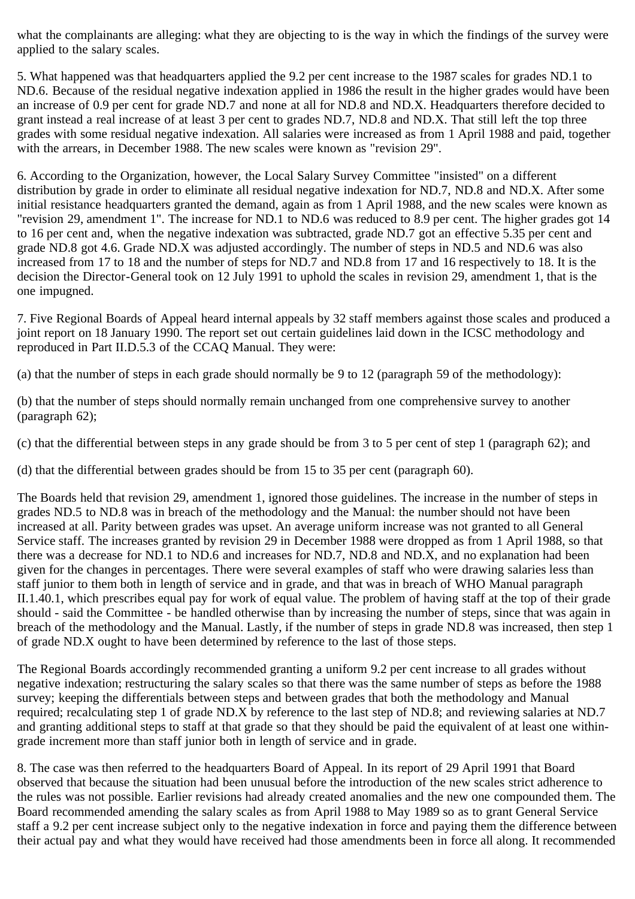what the complainants are alleging: what they are objecting to is the way in which the findings of the survey were applied to the salary scales.

5. What happened was that headquarters applied the 9.2 per cent increase to the 1987 scales for grades ND.1 to ND.6. Because of the residual negative indexation applied in 1986 the result in the higher grades would have been an increase of 0.9 per cent for grade ND.7 and none at all for ND.8 and ND.X. Headquarters therefore decided to grant instead a real increase of at least 3 per cent to grades ND.7, ND.8 and ND.X. That still left the top three grades with some residual negative indexation. All salaries were increased as from 1 April 1988 and paid, together with the arrears, in December 1988. The new scales were known as "revision 29".

6. According to the Organization, however, the Local Salary Survey Committee "insisted" on a different distribution by grade in order to eliminate all residual negative indexation for ND.7, ND.8 and ND.X. After some initial resistance headquarters granted the demand, again as from 1 April 1988, and the new scales were known as "revision 29, amendment 1". The increase for ND.1 to ND.6 was reduced to 8.9 per cent. The higher grades got 14 to 16 per cent and, when the negative indexation was subtracted, grade ND.7 got an effective 5.35 per cent and grade ND.8 got 4.6. Grade ND.X was adjusted accordingly. The number of steps in ND.5 and ND.6 was also increased from 17 to 18 and the number of steps for ND.7 and ND.8 from 17 and 16 respectively to 18. It is the decision the Director-General took on 12 July 1991 to uphold the scales in revision 29, amendment 1, that is the one impugned.

7. Five Regional Boards of Appeal heard internal appeals by 32 staff members against those scales and produced a joint report on 18 January 1990. The report set out certain guidelines laid down in the ICSC methodology and reproduced in Part II.D.5.3 of the CCAQ Manual. They were:

(a) that the number of steps in each grade should normally be 9 to 12 (paragraph 59 of the methodology):

(b) that the number of steps should normally remain unchanged from one comprehensive survey to another (paragraph 62);

(c) that the differential between steps in any grade should be from 3 to 5 per cent of step 1 (paragraph 62); and

(d) that the differential between grades should be from 15 to 35 per cent (paragraph 60).

The Boards held that revision 29, amendment 1, ignored those guidelines. The increase in the number of steps in grades ND.5 to ND.8 was in breach of the methodology and the Manual: the number should not have been increased at all. Parity between grades was upset. An average uniform increase was not granted to all General Service staff. The increases granted by revision 29 in December 1988 were dropped as from 1 April 1988, so that there was a decrease for ND.1 to ND.6 and increases for ND.7, ND.8 and ND.X, and no explanation had been given for the changes in percentages. There were several examples of staff who were drawing salaries less than staff junior to them both in length of service and in grade, and that was in breach of WHO Manual paragraph II.1.40.1, which prescribes equal pay for work of equal value. The problem of having staff at the top of their grade should - said the Committee - be handled otherwise than by increasing the number of steps, since that was again in breach of the methodology and the Manual. Lastly, if the number of steps in grade ND.8 was increased, then step 1 of grade ND.X ought to have been determined by reference to the last of those steps.

The Regional Boards accordingly recommended granting a uniform 9.2 per cent increase to all grades without negative indexation; restructuring the salary scales so that there was the same number of steps as before the 1988 survey; keeping the differentials between steps and between grades that both the methodology and Manual required; recalculating step 1 of grade ND.X by reference to the last step of ND.8; and reviewing salaries at ND.7 and granting additional steps to staff at that grade so that they should be paid the equivalent of at least one withingrade increment more than staff junior both in length of service and in grade.

8. The case was then referred to the headquarters Board of Appeal. In its report of 29 April 1991 that Board observed that because the situation had been unusual before the introduction of the new scales strict adherence to the rules was not possible. Earlier revisions had already created anomalies and the new one compounded them. The Board recommended amending the salary scales as from April 1988 to May 1989 so as to grant General Service staff a 9.2 per cent increase subject only to the negative indexation in force and paying them the difference between their actual pay and what they would have received had those amendments been in force all along. It recommended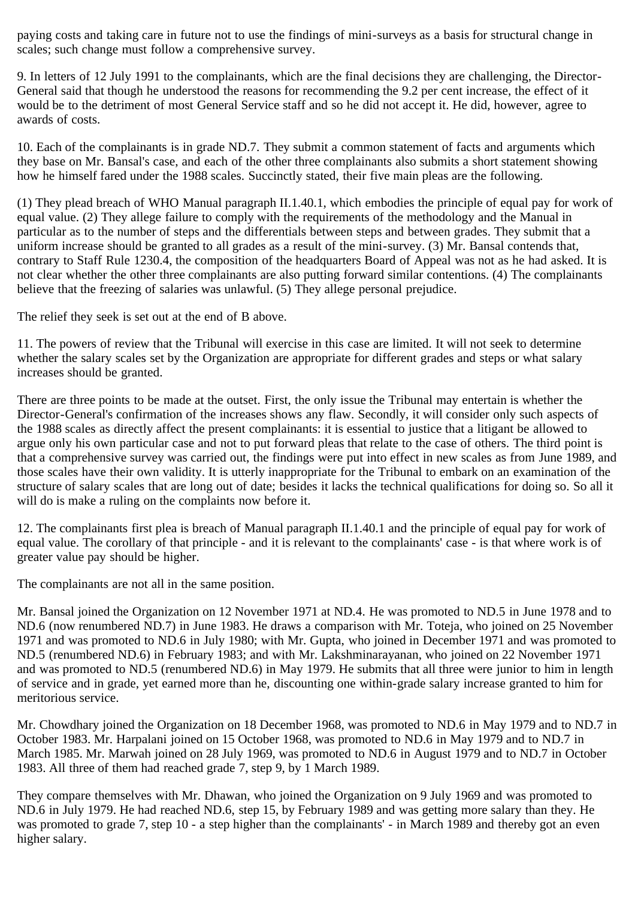paying costs and taking care in future not to use the findings of mini-surveys as a basis for structural change in scales; such change must follow a comprehensive survey.

9. In letters of 12 July 1991 to the complainants, which are the final decisions they are challenging, the Director-General said that though he understood the reasons for recommending the 9.2 per cent increase, the effect of it would be to the detriment of most General Service staff and so he did not accept it. He did, however, agree to awards of costs.

10. Each of the complainants is in grade ND.7. They submit a common statement of facts and arguments which they base on Mr. Bansal's case, and each of the other three complainants also submits a short statement showing how he himself fared under the 1988 scales. Succinctly stated, their five main pleas are the following.

(1) They plead breach of WHO Manual paragraph II.1.40.1, which embodies the principle of equal pay for work of equal value. (2) They allege failure to comply with the requirements of the methodology and the Manual in particular as to the number of steps and the differentials between steps and between grades. They submit that a uniform increase should be granted to all grades as a result of the mini-survey. (3) Mr. Bansal contends that, contrary to Staff Rule 1230.4, the composition of the headquarters Board of Appeal was not as he had asked. It is not clear whether the other three complainants are also putting forward similar contentions. (4) The complainants believe that the freezing of salaries was unlawful. (5) They allege personal prejudice.

The relief they seek is set out at the end of B above.

11. The powers of review that the Tribunal will exercise in this case are limited. It will not seek to determine whether the salary scales set by the Organization are appropriate for different grades and steps or what salary increases should be granted.

There are three points to be made at the outset. First, the only issue the Tribunal may entertain is whether the Director-General's confirmation of the increases shows any flaw. Secondly, it will consider only such aspects of the 1988 scales as directly affect the present complainants: it is essential to justice that a litigant be allowed to argue only his own particular case and not to put forward pleas that relate to the case of others. The third point is that a comprehensive survey was carried out, the findings were put into effect in new scales as from June 1989, and those scales have their own validity. It is utterly inappropriate for the Tribunal to embark on an examination of the structure of salary scales that are long out of date; besides it lacks the technical qualifications for doing so. So all it will do is make a ruling on the complaints now before it.

12. The complainants first plea is breach of Manual paragraph II.1.40.1 and the principle of equal pay for work of equal value. The corollary of that principle - and it is relevant to the complainants' case - is that where work is of greater value pay should be higher.

The complainants are not all in the same position.

Mr. Bansal joined the Organization on 12 November 1971 at ND.4. He was promoted to ND.5 in June 1978 and to ND.6 (now renumbered ND.7) in June 1983. He draws a comparison with Mr. Toteja, who joined on 25 November 1971 and was promoted to ND.6 in July 1980; with Mr. Gupta, who joined in December 1971 and was promoted to ND.5 (renumbered ND.6) in February 1983; and with Mr. Lakshminarayanan, who joined on 22 November 1971 and was promoted to ND.5 (renumbered ND.6) in May 1979. He submits that all three were junior to him in length of service and in grade, yet earned more than he, discounting one within-grade salary increase granted to him for meritorious service.

Mr. Chowdhary joined the Organization on 18 December 1968, was promoted to ND.6 in May 1979 and to ND.7 in October 1983. Mr. Harpalani joined on 15 October 1968, was promoted to ND.6 in May 1979 and to ND.7 in March 1985. Mr. Marwah joined on 28 July 1969, was promoted to ND.6 in August 1979 and to ND.7 in October 1983. All three of them had reached grade 7, step 9, by 1 March 1989.

They compare themselves with Mr. Dhawan, who joined the Organization on 9 July 1969 and was promoted to ND.6 in July 1979. He had reached ND.6, step 15, by February 1989 and was getting more salary than they. He was promoted to grade 7, step 10 - a step higher than the complainants' - in March 1989 and thereby got an even higher salary.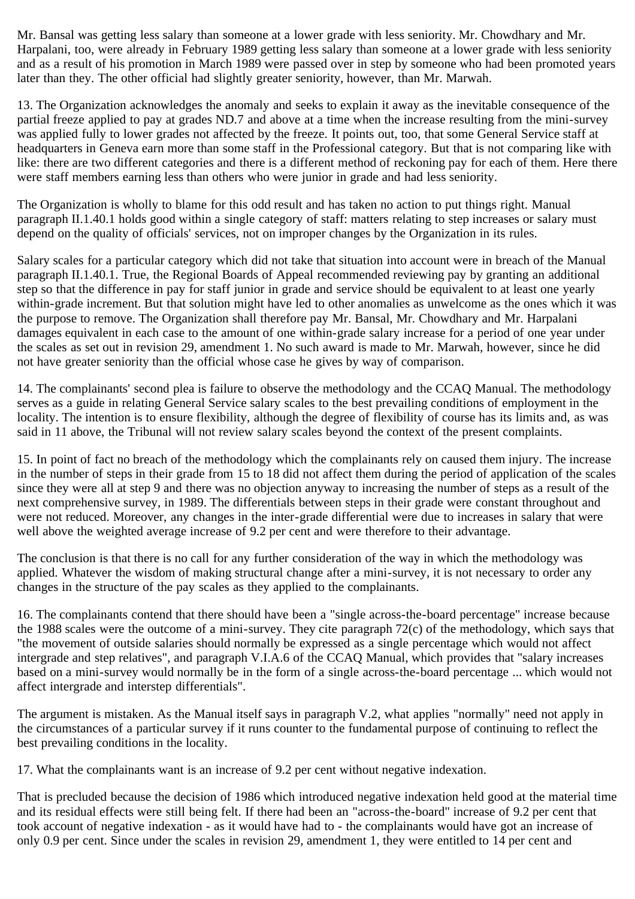Mr. Bansal was getting less salary than someone at a lower grade with less seniority. Mr. Chowdhary and Mr. Harpalani, too, were already in February 1989 getting less salary than someone at a lower grade with less seniority and as a result of his promotion in March 1989 were passed over in step by someone who had been promoted years later than they. The other official had slightly greater seniority, however, than Mr. Marwah.

13. The Organization acknowledges the anomaly and seeks to explain it away as the inevitable consequence of the partial freeze applied to pay at grades ND.7 and above at a time when the increase resulting from the mini-survey was applied fully to lower grades not affected by the freeze. It points out, too, that some General Service staff at headquarters in Geneva earn more than some staff in the Professional category. But that is not comparing like with like: there are two different categories and there is a different method of reckoning pay for each of them. Here there were staff members earning less than others who were junior in grade and had less seniority.

The Organization is wholly to blame for this odd result and has taken no action to put things right. Manual paragraph II.1.40.1 holds good within a single category of staff: matters relating to step increases or salary must depend on the quality of officials' services, not on improper changes by the Organization in its rules.

Salary scales for a particular category which did not take that situation into account were in breach of the Manual paragraph II.1.40.1. True, the Regional Boards of Appeal recommended reviewing pay by granting an additional step so that the difference in pay for staff junior in grade and service should be equivalent to at least one yearly within-grade increment. But that solution might have led to other anomalies as unwelcome as the ones which it was the purpose to remove. The Organization shall therefore pay Mr. Bansal, Mr. Chowdhary and Mr. Harpalani damages equivalent in each case to the amount of one within-grade salary increase for a period of one year under the scales as set out in revision 29, amendment 1. No such award is made to Mr. Marwah, however, since he did not have greater seniority than the official whose case he gives by way of comparison.

14. The complainants' second plea is failure to observe the methodology and the CCAQ Manual. The methodology serves as a guide in relating General Service salary scales to the best prevailing conditions of employment in the locality. The intention is to ensure flexibility, although the degree of flexibility of course has its limits and, as was said in 11 above, the Tribunal will not review salary scales beyond the context of the present complaints.

15. In point of fact no breach of the methodology which the complainants rely on caused them injury. The increase in the number of steps in their grade from 15 to 18 did not affect them during the period of application of the scales since they were all at step 9 and there was no objection anyway to increasing the number of steps as a result of the next comprehensive survey, in 1989. The differentials between steps in their grade were constant throughout and were not reduced. Moreover, any changes in the inter-grade differential were due to increases in salary that were well above the weighted average increase of 9.2 per cent and were therefore to their advantage.

The conclusion is that there is no call for any further consideration of the way in which the methodology was applied. Whatever the wisdom of making structural change after a mini-survey, it is not necessary to order any changes in the structure of the pay scales as they applied to the complainants.

16. The complainants contend that there should have been a "single across-the-board percentage" increase because the 1988 scales were the outcome of a mini-survey. They cite paragraph 72(c) of the methodology, which says that "the movement of outside salaries should normally be expressed as a single percentage which would not affect intergrade and step relatives", and paragraph V.I.A.6 of the CCAQ Manual, which provides that "salary increases based on a mini-survey would normally be in the form of a single across-the-board percentage ... which would not affect intergrade and interstep differentials".

The argument is mistaken. As the Manual itself says in paragraph V.2, what applies "normally" need not apply in the circumstances of a particular survey if it runs counter to the fundamental purpose of continuing to reflect the best prevailing conditions in the locality.

17. What the complainants want is an increase of 9.2 per cent without negative indexation.

That is precluded because the decision of 1986 which introduced negative indexation held good at the material time and its residual effects were still being felt. If there had been an "across-the-board" increase of 9.2 per cent that took account of negative indexation - as it would have had to - the complainants would have got an increase of only 0.9 per cent. Since under the scales in revision 29, amendment 1, they were entitled to 14 per cent and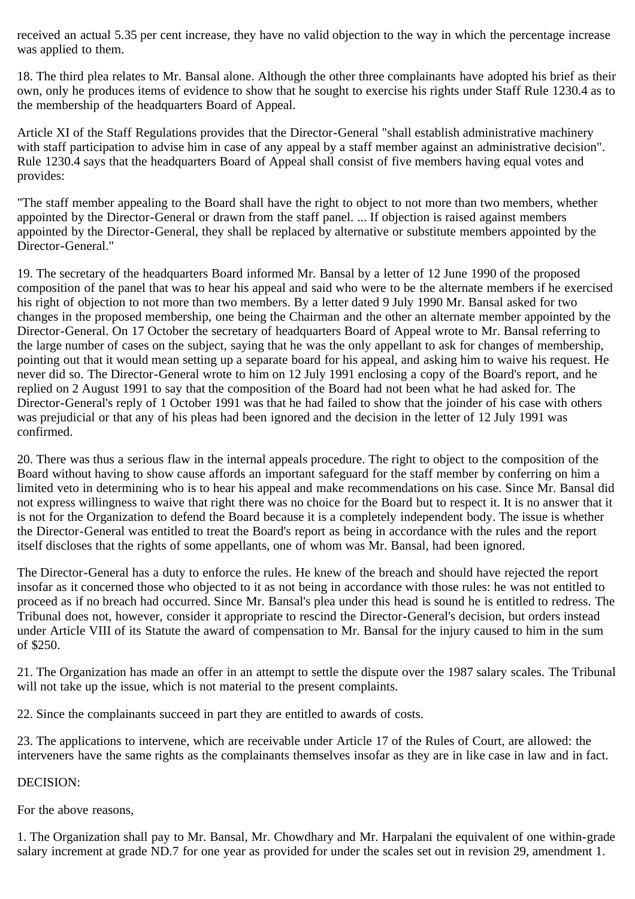received an actual 5.35 per cent increase, they have no valid objection to the way in which the percentage increase was applied to them.

18. The third plea relates to Mr. Bansal alone. Although the other three complainants have adopted his brief as their own, only he produces items of evidence to show that he sought to exercise his rights under Staff Rule 1230.4 as to the membership of the headquarters Board of Appeal.

Article XI of the Staff Regulations provides that the Director-General "shall establish administrative machinery with staff participation to advise him in case of any appeal by a staff member against an administrative decision". Rule 1230.4 says that the headquarters Board of Appeal shall consist of five members having equal votes and provides:

"The staff member appealing to the Board shall have the right to object to not more than two members, whether appointed by the Director-General or drawn from the staff panel. ... If objection is raised against members appointed by the Director-General, they shall be replaced by alternative or substitute members appointed by the Director-General."

19. The secretary of the headquarters Board informed Mr. Bansal by a letter of 12 June 1990 of the proposed composition of the panel that was to hear his appeal and said who were to be the alternate members if he exercised his right of objection to not more than two members. By a letter dated 9 July 1990 Mr. Bansal asked for two changes in the proposed membership, one being the Chairman and the other an alternate member appointed by the Director-General. On 17 October the secretary of headquarters Board of Appeal wrote to Mr. Bansal referring to the large number of cases on the subject, saying that he was the only appellant to ask for changes of membership, pointing out that it would mean setting up a separate board for his appeal, and asking him to waive his request. He never did so. The Director-General wrote to him on 12 July 1991 enclosing a copy of the Board's report, and he replied on 2 August 1991 to say that the composition of the Board had not been what he had asked for. The Director-General's reply of 1 October 1991 was that he had failed to show that the joinder of his case with others was prejudicial or that any of his pleas had been ignored and the decision in the letter of 12 July 1991 was confirmed.

20. There was thus a serious flaw in the internal appeals procedure. The right to object to the composition of the Board without having to show cause affords an important safeguard for the staff member by conferring on him a limited veto in determining who is to hear his appeal and make recommendations on his case. Since Mr. Bansal did not express willingness to waive that right there was no choice for the Board but to respect it. It is no answer that it is not for the Organization to defend the Board because it is a completely independent body. The issue is whether the Director-General was entitled to treat the Board's report as being in accordance with the rules and the report itself discloses that the rights of some appellants, one of whom was Mr. Bansal, had been ignored.

The Director-General has a duty to enforce the rules. He knew of the breach and should have rejected the report insofar as it concerned those who objected to it as not being in accordance with those rules: he was not entitled to proceed as if no breach had occurred. Since Mr. Bansal's plea under this head is sound he is entitled to redress. The Tribunal does not, however, consider it appropriate to rescind the Director-General's decision, but orders instead under Article VIII of its Statute the award of compensation to Mr. Bansal for the injury caused to him in the sum of \$250.

21. The Organization has made an offer in an attempt to settle the dispute over the 1987 salary scales. The Tribunal will not take up the issue, which is not material to the present complaints.

22. Since the complainants succeed in part they are entitled to awards of costs.

23. The applications to intervene, which are receivable under Article 17 of the Rules of Court, are allowed: the interveners have the same rights as the complainants themselves insofar as they are in like case in law and in fact.

DECISION:

For the above reasons,

1. The Organization shall pay to Mr. Bansal, Mr. Chowdhary and Mr. Harpalani the equivalent of one within-grade salary increment at grade ND.7 for one year as provided for under the scales set out in revision 29, amendment 1.